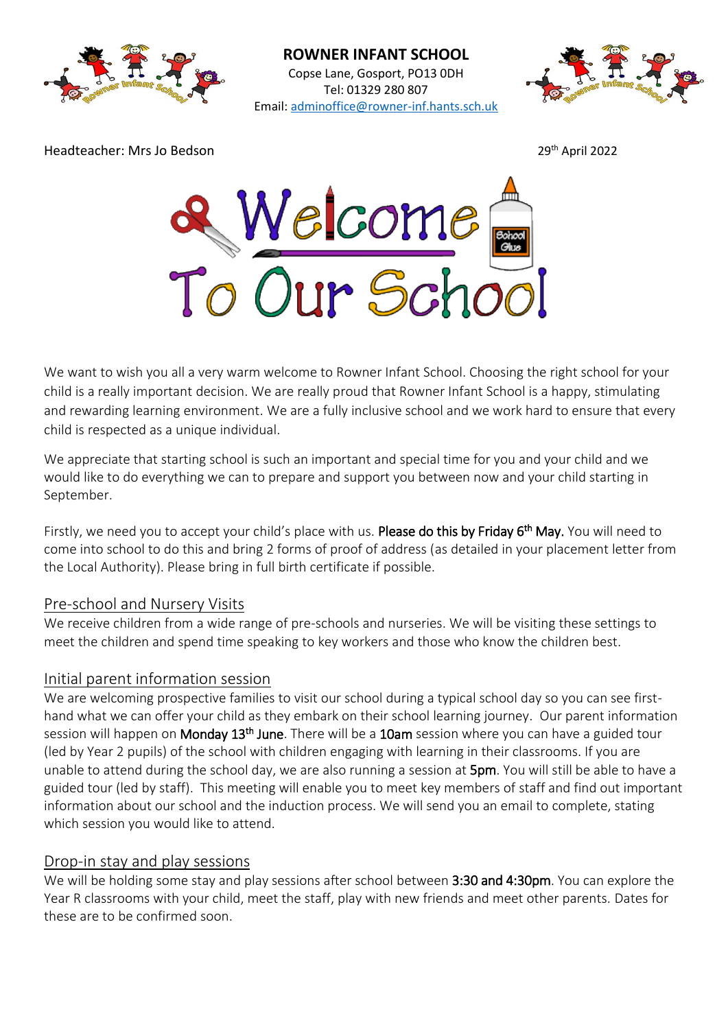



Headteacher: Mrs Jo Bedson 29

29<sup>th</sup> April 2022



We want to wish you all a very warm welcome to Rowner Infant School. Choosing the right school for your child is a really important decision. We are really proud that Rowner Infant School is a happy, stimulating and rewarding learning environment. We are a fully inclusive school and we work hard to ensure that every child is respected as a unique individual.

We appreciate that starting school is such an important and special time for you and your child and we would like to do everything we can to prepare and support you between now and your child starting in September.

Firstly, we need you to accept your child's place with us. Please do this by Friday 6<sup>th</sup> May. You will need to come into school to do this and bring 2 forms of proof of address (as detailed in your placement letter from the Local Authority). Please bring in full birth certificate if possible.

### Pre-school and Nursery Visits

We receive children from a wide range of pre-schools and nurseries. We will be visiting these settings to meet the children and spend time speaking to key workers and those who know the children best.

### Initial parent information session

We are welcoming prospective families to visit our school during a typical school day so you can see firsthand what we can offer your child as they embark on their school learning journey. Our parent information session will happen on Monday 13<sup>th</sup> June. There will be a 10am session where you can have a guided tour (led by Year 2 pupils) of the school with children engaging with learning in their classrooms. If you are unable to attend during the school day, we are also running a session at 5pm. You will still be able to have a guided tour (led by staff). This meeting will enable you to meet key members of staff and find out important information about our school and the induction process. We will send you an email to complete, stating which session you would like to attend.

### Drop-in stay and play sessions

We will be holding some stay and play sessions after school between 3:30 and 4:30pm. You can explore the Year R classrooms with your child, meet the staff, play with new friends and meet other parents. Dates for these are to be confirmed soon.